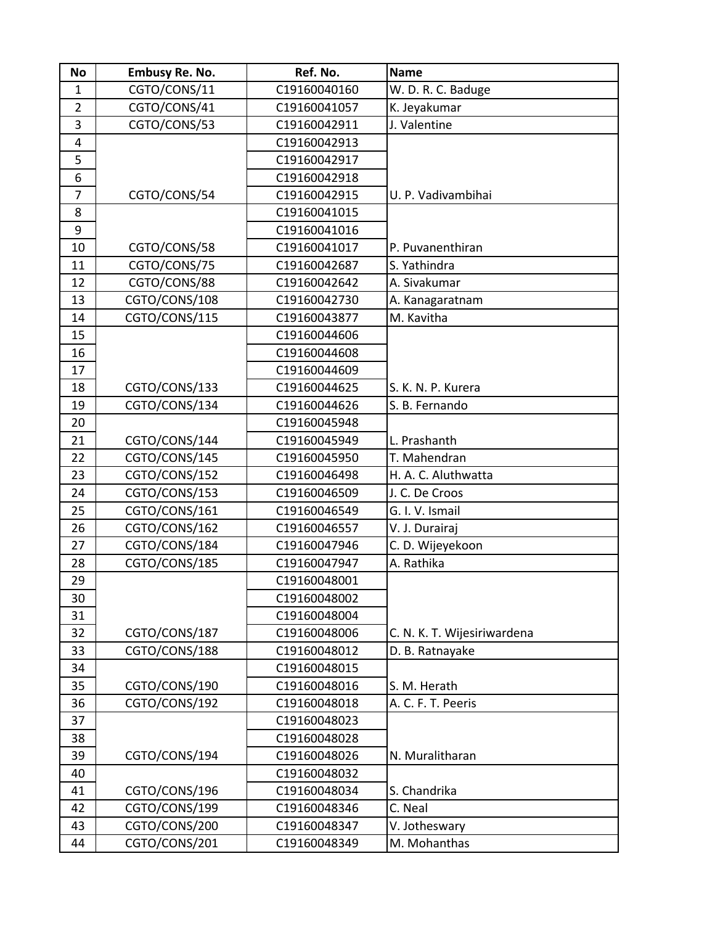| <b>No</b>      | <b>Embusy Re. No.</b> | Ref. No.     | <b>Name</b>                 |
|----------------|-----------------------|--------------|-----------------------------|
| $\mathbf{1}$   | CGTO/CONS/11          | C19160040160 | W. D. R. C. Baduge          |
| $\overline{2}$ | CGTO/CONS/41          | C19160041057 | K. Jeyakumar                |
| 3              | CGTO/CONS/53          | C19160042911 | J. Valentine                |
| 4              |                       | C19160042913 |                             |
| 5              |                       | C19160042917 |                             |
| 6              |                       | C19160042918 |                             |
| $\overline{7}$ | CGTO/CONS/54          | C19160042915 | U. P. Vadivambihai          |
| 8              |                       | C19160041015 |                             |
| 9              |                       | C19160041016 |                             |
| 10             | CGTO/CONS/58          | C19160041017 | P. Puvanenthiran            |
| 11             | CGTO/CONS/75          | C19160042687 | S. Yathindra                |
| 12             | CGTO/CONS/88          | C19160042642 | A. Sivakumar                |
| 13             | CGTO/CONS/108         | C19160042730 | A. Kanagaratnam             |
| 14             | CGTO/CONS/115         | C19160043877 | M. Kavitha                  |
| 15             |                       | C19160044606 |                             |
| 16             |                       | C19160044608 |                             |
| 17             |                       | C19160044609 |                             |
| 18             | CGTO/CONS/133         | C19160044625 | S. K. N. P. Kurera          |
| 19             | CGTO/CONS/134         | C19160044626 | S. B. Fernando              |
| 20             |                       | C19160045948 |                             |
| 21             | CGTO/CONS/144         | C19160045949 | L. Prashanth                |
| 22             | CGTO/CONS/145         | C19160045950 | T. Mahendran                |
| 23             | CGTO/CONS/152         | C19160046498 | H. A. C. Aluthwatta         |
| 24             | CGTO/CONS/153         | C19160046509 | J. C. De Croos              |
| 25             | CGTO/CONS/161         | C19160046549 | G. I. V. Ismail             |
| 26             | CGTO/CONS/162         | C19160046557 | V. J. Durairaj              |
| 27             | CGTO/CONS/184         | C19160047946 | C. D. Wijeyekoon            |
| 28             | CGTO/CONS/185         | C19160047947 | A. Rathika                  |
| 29             |                       | C19160048001 |                             |
| 30             |                       | C19160048002 |                             |
| 31             |                       | C19160048004 |                             |
| 32             | CGTO/CONS/187         | C19160048006 | C. N. K. T. Wijesiriwardena |
| 33             | CGTO/CONS/188         | C19160048012 | D. B. Ratnayake             |
| 34             |                       | C19160048015 |                             |
| 35             | CGTO/CONS/190         | C19160048016 | S. M. Herath                |
| 36             | CGTO/CONS/192         | C19160048018 | A. C. F. T. Peeris          |
| 37             |                       | C19160048023 |                             |
| 38             |                       | C19160048028 |                             |
| 39             | CGTO/CONS/194         | C19160048026 | N. Muralitharan             |
| 40             |                       | C19160048032 |                             |
| 41             | CGTO/CONS/196         | C19160048034 | S. Chandrika                |
| 42             | CGTO/CONS/199         | C19160048346 | C. Neal                     |
| 43             | CGTO/CONS/200         | C19160048347 | V. Jotheswary               |
| 44             | CGTO/CONS/201         | C19160048349 | M. Mohanthas                |